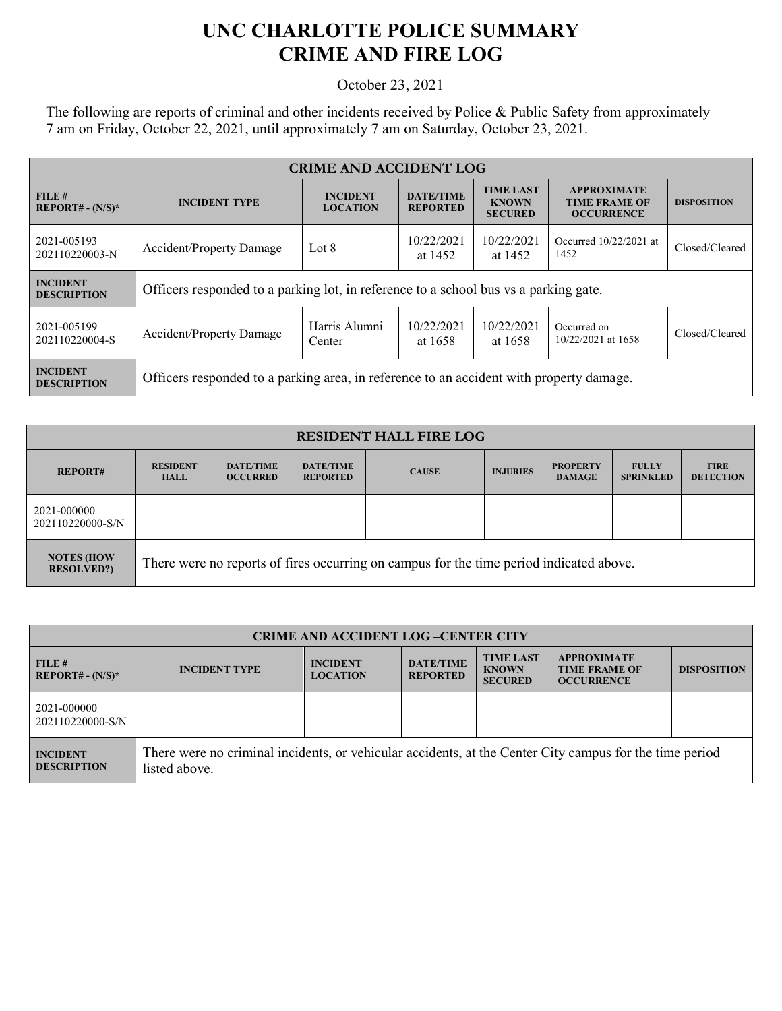## **UNC CHARLOTTE POLICE SUMMARY CRIME AND FIRE LOG**

October 23, 2021

The following are reports of criminal and other incidents received by Police & Public Safety from approximately 7 am on Friday, October 22, 2021, until approximately 7 am on Saturday, October 23, 2021.

| <b>CRIME AND ACCIDENT LOG</b>                  |                                                                                         |                                    |                                     |                                                    |                                                                 |                    |
|------------------------------------------------|-----------------------------------------------------------------------------------------|------------------------------------|-------------------------------------|----------------------------------------------------|-----------------------------------------------------------------|--------------------|
| FILE#<br><b>REPORT# - <math>(N/S)^*</math></b> | <b>INCIDENT TYPE</b>                                                                    | <b>INCIDENT</b><br><b>LOCATION</b> | <b>DATE/TIME</b><br><b>REPORTED</b> | <b>TIME LAST</b><br><b>KNOWN</b><br><b>SECURED</b> | <b>APPROXIMATE</b><br><b>TIME FRAME OF</b><br><b>OCCURRENCE</b> | <b>DISPOSITION</b> |
| 2021-005193<br>202110220003-N                  | <b>Accident/Property Damage</b>                                                         | Lot 8                              | 10/22/2021<br>at 1452               | 10/22/2021<br>at 1452                              | Occurred 10/22/2021 at<br>1452                                  | Closed/Cleared     |
| <b>INCIDENT</b><br><b>DESCRIPTION</b>          | Officers responded to a parking lot, in reference to a school bus vs a parking gate.    |                                    |                                     |                                                    |                                                                 |                    |
| 2021-005199<br>202110220004-S                  | <b>Accident/Property Damage</b>                                                         | Harris Alumni<br>Center            | 10/22/2021<br>at 1658               | 10/22/2021<br>at 1658                              | Occurred on<br>10/22/2021 at 1658                               | Closed/Cleared     |
| <b>INCIDENT</b><br><b>DESCRIPTION</b>          | Officers responded to a parking area, in reference to an accident with property damage. |                                    |                                     |                                                    |                                                                 |                    |

| <b>RESIDENT HALL FIRE LOG</b>          |                                                                                         |                                     |                                     |              |                 |                                  |                                  |                                 |
|----------------------------------------|-----------------------------------------------------------------------------------------|-------------------------------------|-------------------------------------|--------------|-----------------|----------------------------------|----------------------------------|---------------------------------|
| <b>REPORT#</b>                         | <b>RESIDENT</b><br><b>HALL</b>                                                          | <b>DATE/TIME</b><br><b>OCCURRED</b> | <b>DATE/TIME</b><br><b>REPORTED</b> | <b>CAUSE</b> | <b>INJURIES</b> | <b>PROPERTY</b><br><b>DAMAGE</b> | <b>FULLY</b><br><b>SPRINKLED</b> | <b>FIRE</b><br><b>DETECTION</b> |
| 2021-000000<br>202110220000-S/N        |                                                                                         |                                     |                                     |              |                 |                                  |                                  |                                 |
| <b>NOTES (HOW</b><br><b>RESOLVED?)</b> | There were no reports of fires occurring on campus for the time period indicated above. |                                     |                                     |              |                 |                                  |                                  |                                 |

| <b>CRIME AND ACCIDENT LOG-CENTER CITY</b> |                                                                                                                          |                                    |                                     |                                                    |                                                                 |                    |
|-------------------------------------------|--------------------------------------------------------------------------------------------------------------------------|------------------------------------|-------------------------------------|----------------------------------------------------|-----------------------------------------------------------------|--------------------|
| FILE#<br>$REPORT# - (N/S)*$               | <b>INCIDENT TYPE</b>                                                                                                     | <b>INCIDENT</b><br><b>LOCATION</b> | <b>DATE/TIME</b><br><b>REPORTED</b> | <b>TIME LAST</b><br><b>KNOWN</b><br><b>SECURED</b> | <b>APPROXIMATE</b><br><b>TIME FRAME OF</b><br><b>OCCURRENCE</b> | <b>DISPOSITION</b> |
| 2021-000000<br>202110220000-S/N           |                                                                                                                          |                                    |                                     |                                                    |                                                                 |                    |
| <b>INCIDENT</b><br><b>DESCRIPTION</b>     | There were no criminal incidents, or vehicular accidents, at the Center City campus for the time period<br>listed above. |                                    |                                     |                                                    |                                                                 |                    |